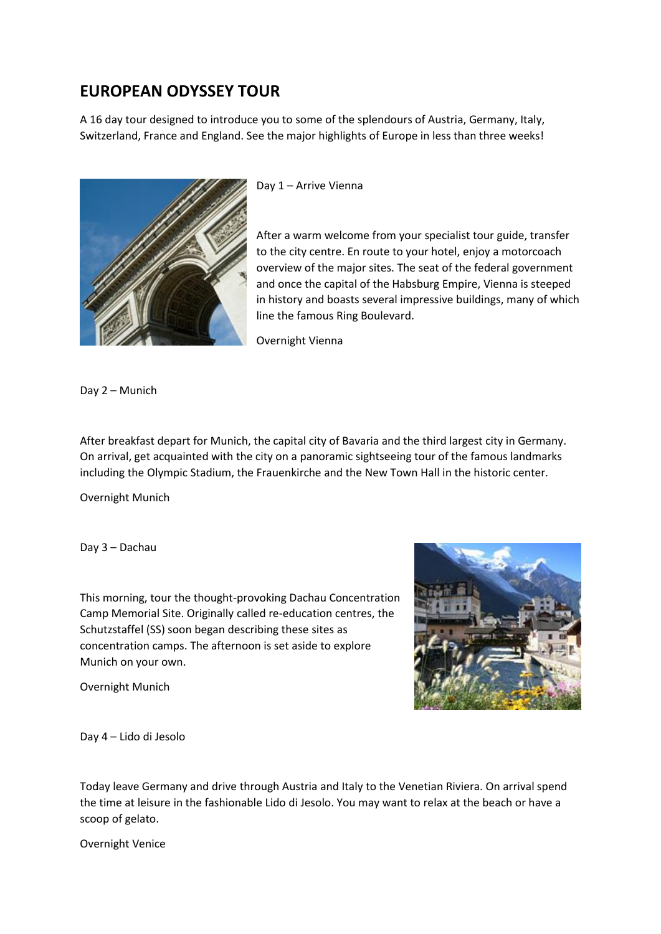## **EUROPEAN ODYSSEY TOUR**

A 16 day tour designed to introduce you to some of the splendours of Austria, Germany, Italy, Switzerland, France and England. See the major highlights of Europe in less than three weeks!



Day 1 – Arrive Vienna

After a warm welcome from your specialist tour guide, transfer to the city centre. En route to your hotel, enjoy a motorcoach overview of the major sites. The seat of the federal government and once the capital of the Habsburg Empire, Vienna is steeped in history and boasts several impressive buildings, many of which line the famous Ring Boulevard.

Overnight Vienna

Day 2 – Munich

After breakfast depart for Munich, the capital city of Bavaria and the third largest city in Germany. On arrival, get acquainted with the city on a panoramic sightseeing tour of the famous landmarks including the Olympic Stadium, the Frauenkirche and the New Town Hall in the historic center.

Overnight Munich

Day 3 – Dachau

This morning, tour the thought-provoking Dachau Concentration Camp Memorial Site. Originally called re-education centres, the Schutzstaffel (SS) soon began describing these sites as concentration camps. The afternoon is set aside to explore Munich on your own.

Overnight Munich



Day 4 – Lido di Jesolo

Today leave Germany and drive through Austria and Italy to the Venetian Riviera. On arrival spend the time at leisure in the fashionable Lido di Jesolo. You may want to relax at the beach or have a scoop of gelato.

Overnight Venice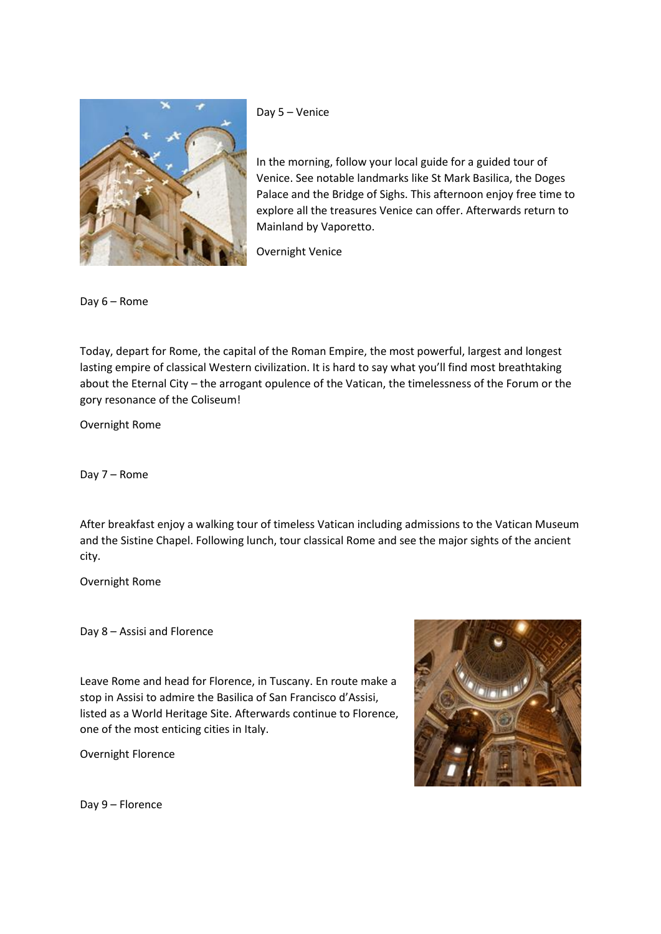

Day 5 – Venice

In the morning, follow your local guide for a guided tour of Venice. See notable landmarks like St Mark Basilica, the Doges Palace and the Bridge of Sighs. This afternoon enjoy free time to explore all the treasures Venice can offer. Afterwards return to Mainland by Vaporetto.

Overnight Venice

Day 6 – Rome

Today, depart for Rome, the capital of the Roman Empire, the most powerful, largest and longest lasting empire of classical Western civilization. It is hard to say what you'll find most breathtaking about the Eternal City – the arrogant opulence of the Vatican, the timelessness of the Forum or the gory resonance of the Coliseum!

Overnight Rome

Day 7 – Rome

After breakfast enjoy a walking tour of timeless Vatican including admissions to the Vatican Museum and the Sistine Chapel. Following lunch, tour classical Rome and see the major sights of the ancient city.

Overnight Rome

Day 8 – Assisi and Florence

Leave Rome and head for Florence, in Tuscany. En route make a stop in Assisi to admire the Basilica of San Francisco d'Assisi, listed as a World Heritage Site. Afterwards continue to Florence, one of the most enticing cities in Italy.

Overnight Florence



Day 9 – Florence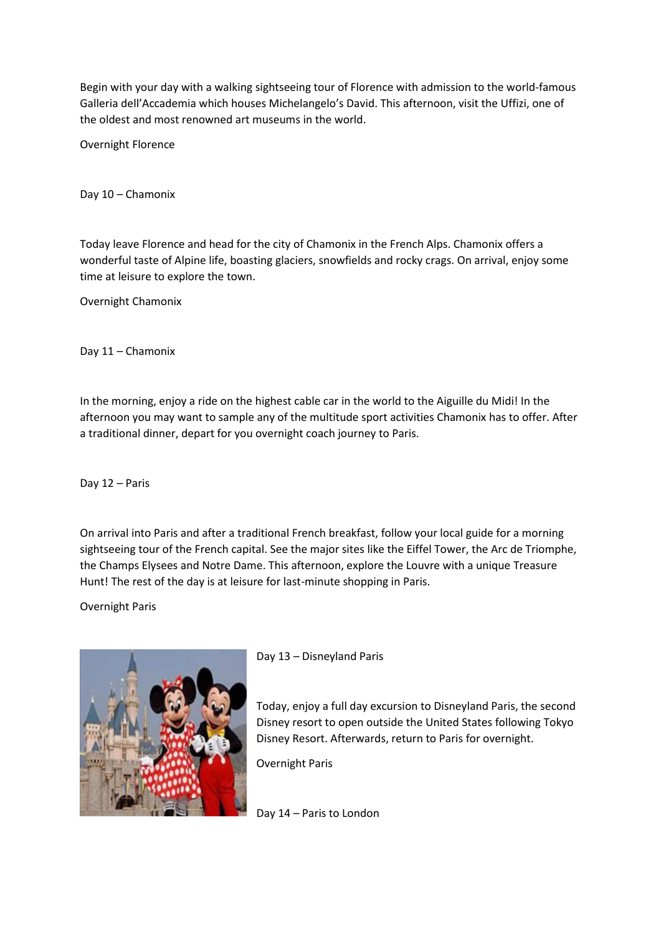Begin with your day with a walking sightseeing tour of Florence with admission to the world-famous Galleria dell'Accademia which houses Michelangelo's David. This afternoon, visit the Uffizi, one of the oldest and most renowned art museums in the world.

Overnight Florence

Day 10 – Chamonix

Today leave Florence and head for the city of Chamonix in the French Alps. Chamonix offers a wonderful taste of Alpine life, boasting glaciers, snowfields and rocky crags. On arrival, enjoy some time at leisure to explore the town.

Overnight Chamonix

Day 11 – Chamonix

In the morning, enjoy a ride on the highest cable car in the world to the Aiguille du Midi! In the afternoon you may want to sample any of the multitude sport activities Chamonix has to offer. After a traditional dinner, depart for you overnight coach journey to Paris.

Day 12 – Paris

On arrival into Paris and after a traditional French breakfast, follow your local guide for a morning sightseeing tour of the French capital. See the major sites like the Eiffel Tower, the Arc de Triomphe, the Champs Elysees and Notre Dame. This afternoon, explore the Louvre with a unique Treasure Hunt! The rest of the day is at leisure for last-minute shopping in Paris.

Overnight Paris



Day 13 – Disneyland Paris

Today, enjoy a full day excursion to Disneyland Paris, the second Disney resort to open outside the United States following Tokyo Disney Resort. Afterwards, return to Paris for overnight.

Overnight Paris

Day 14 – Paris to London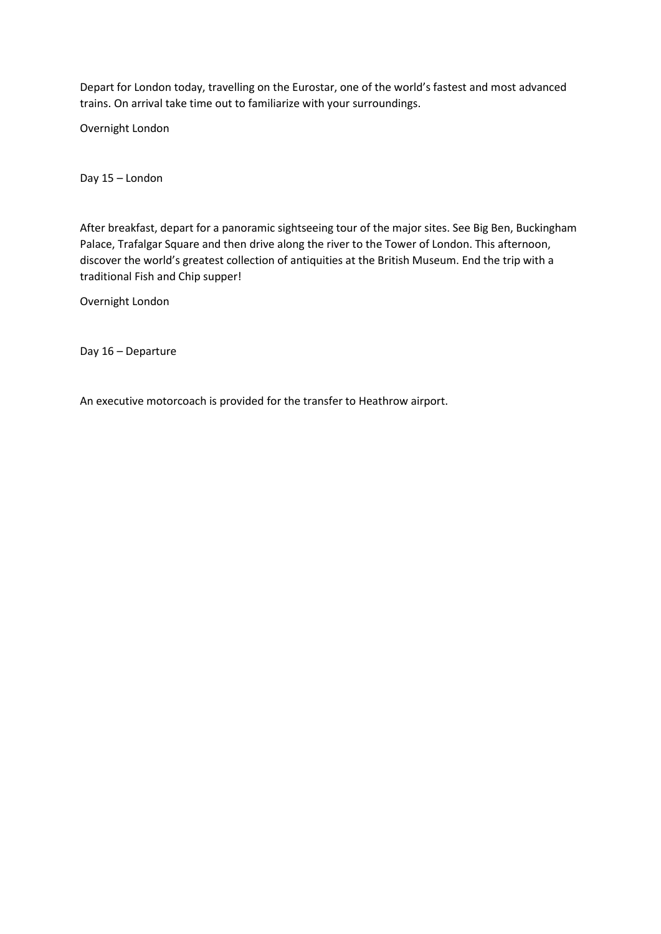Depart for London today, travelling on the Eurostar, one of the world's fastest and most advanced trains. On arrival take time out to familiarize with your surroundings.

Overnight London

Day 15 – London

After breakfast, depart for a panoramic sightseeing tour of the major sites. See Big Ben, Buckingham Palace, Trafalgar Square and then drive along the river to the Tower of London. This afternoon, discover the world's greatest collection of antiquities at the British Museum. End the trip with a traditional Fish and Chip supper!

Overnight London

Day 16 – Departure

An executive motorcoach is provided for the transfer to Heathrow airport.